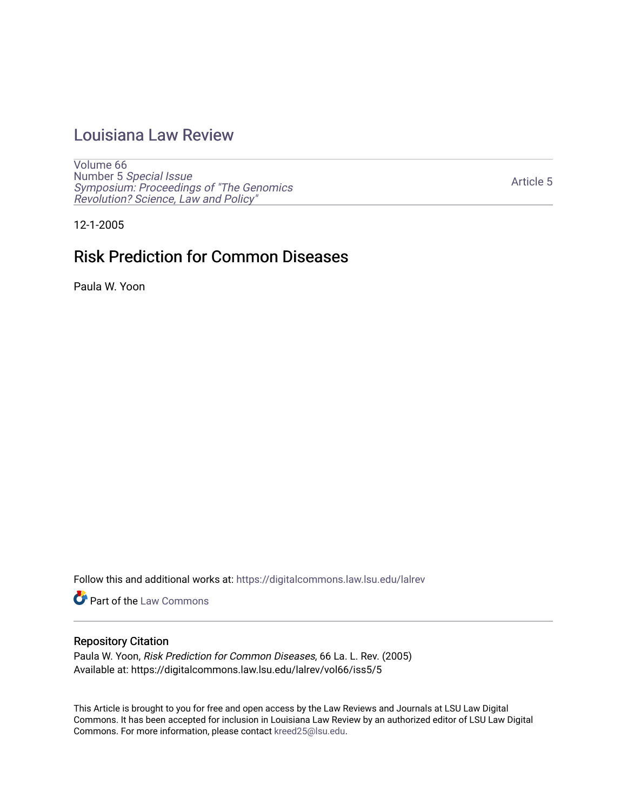## [Louisiana Law Review](https://digitalcommons.law.lsu.edu/lalrev)

[Volume 66](https://digitalcommons.law.lsu.edu/lalrev/vol66) Number 5 [Special Issue](https://digitalcommons.law.lsu.edu/lalrev/vol66/iss5) [Symposium: Proceedings of "The Genomics](https://digitalcommons.law.lsu.edu/lalrev/vol66/iss5)  [Revolution? Science, Law and Policy"](https://digitalcommons.law.lsu.edu/lalrev/vol66/iss5) 

[Article 5](https://digitalcommons.law.lsu.edu/lalrev/vol66/iss5/5) 

12-1-2005

# Risk Prediction for Common Diseases

Paula W. Yoon

Follow this and additional works at: [https://digitalcommons.law.lsu.edu/lalrev](https://digitalcommons.law.lsu.edu/lalrev?utm_source=digitalcommons.law.lsu.edu%2Flalrev%2Fvol66%2Fiss5%2F5&utm_medium=PDF&utm_campaign=PDFCoverPages)

Part of the [Law Commons](https://network.bepress.com/hgg/discipline/578?utm_source=digitalcommons.law.lsu.edu%2Flalrev%2Fvol66%2Fiss5%2F5&utm_medium=PDF&utm_campaign=PDFCoverPages)

#### Repository Citation

Paula W. Yoon, Risk Prediction for Common Diseases, 66 La. L. Rev. (2005) Available at: https://digitalcommons.law.lsu.edu/lalrev/vol66/iss5/5

This Article is brought to you for free and open access by the Law Reviews and Journals at LSU Law Digital Commons. It has been accepted for inclusion in Louisiana Law Review by an authorized editor of LSU Law Digital Commons. For more information, please contact [kreed25@lsu.edu](mailto:kreed25@lsu.edu).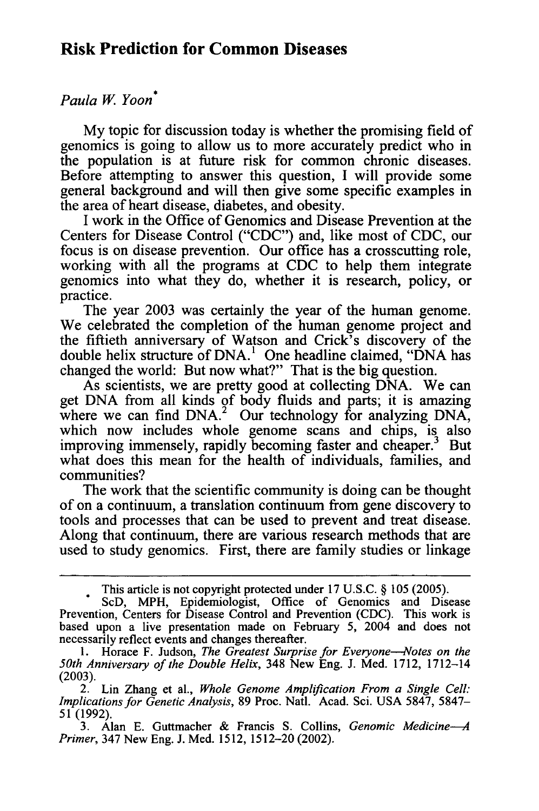### **Risk Prediction for Common Diseases**

#### *PaulaW Yoon\**

My topic for discussion today is whether the promising field of genomics is going to allow us to more accurately predict who in the population is at future risk for common chronic diseases. Before attempting to answer this question, I will provide some general background and will then give some specific examples in the area of heart disease, diabetes, and obesity.

I work in the Office of Genomics and Disease Prevention at the Centers for Disease Control ("CDC") and, like most of CDC, our focus is on disease prevention. Our office has a crosscutting role, working with all the programs at CDC to help them integrate genomics into what they do, whether it is research, policy, or practice.

The year 2003 was certainly the year of the human genome. We celebrated the completion of the human genome project and the fiftieth anniversary of Watson and Crick's discovery of the double helix structure of  $DNA<sup>1</sup>$  One headline claimed, "DNA has changed the world: But now what?" That is the big question.

As scientists, we are pretty good at collecting DNA. We can get DNA from all kinds of body fluids and parts; it is amazing where we can find  $DNA<sup>2</sup>$  Our technology for analyzing  $DNA<sub>2</sub>$ which now includes whole genome scans and chips, is also improving immensely, rapidly becoming faster and cheaper. $3$  But what does this mean for the health of individuals, families, and communities?

The work that the scientific community is doing can be thought of on a continuum, a translation continuum from gene discovery to tools and processes that can be used to prevent and treat disease. Along that continuum, there are various research methods that are used to study genomics. First, there are family studies or linkage

This article is not copyright protected under 17 U.S.C. § 105 (2005).

ScD, MPH, Epidemiologist, Office of Genomics and Disease Prevention, Centers for Disease Control and Prevention (CDC). This work is based upon a live presentation made on February 5, 2004 and does not necessarily reflect events and changes thereafter.

<sup>1.</sup> Horace F. Judson, *The Greatest Surprise for Everyone---Notes on the 50th Anniversary of the Double Helix,* 348 New Eng. J. Med. 1712, 1712-14 (2003).

<sup>2.</sup> Lin Zhang et al., *Whole Genome Amplification From a Single Cell: Implications for Genetic Analysis, 89 Proc. Natl. Acad. Sci. USA 5847, 5847–51 (1992).* 

<sup>3.</sup> Alan E. Guttmacher & Francis S. Collins, *Genomic Medicine--A Primer,*347 New Eng. J. Med. 1512, 1512-20 (2002).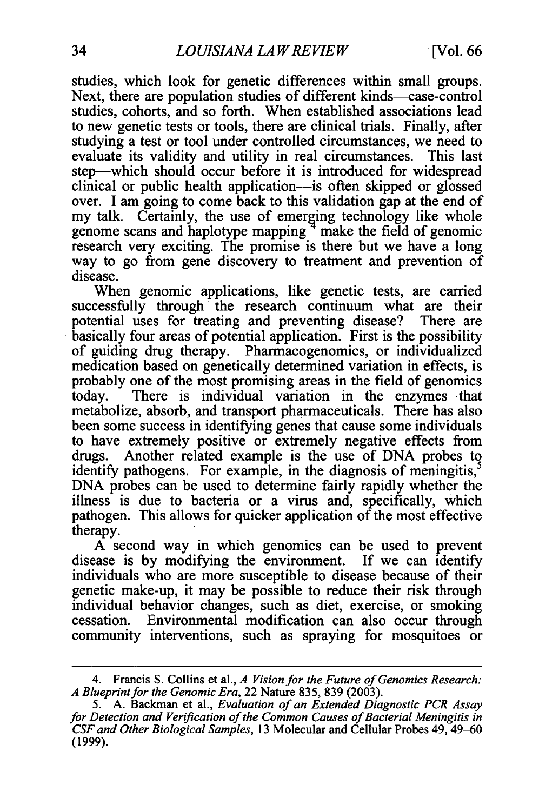studies, which look for genetic differences within small groups. Next, there are population studies of different kinds—case-control studies, cohorts, and so forth. When established associations lead to new genetic tests or tools, there are clinical trials. Finally, after studying a test or tool under controlled circumstances, we need to evaluate its validity and utility in real circumstances. This last step—which should occur before it is introduced for widespread clinical or public health application-is often skipped or glossed over. I am going to come back to this validation gap at the end of my talk. Certainly, the use of emerging technology like whole genome scans and haplotype mapping  $\frac{4}{3}$  make the field of genomic research very exciting. The promise is there but we have a long way to go from gene discovery to treatment and prevention of disease.

When genomic applications, like genetic tests, are carried successfully through the research continuum what are their potential uses for treating and preventing disease? There are basically four areas of potential application. First is the possibility of guiding drug therapy. Pharmacogenomics, or individualized medication based on genetically determined variation in effects, is probably one of the most promising areas in the field of genomics today. There is individual variation in the enzymes that metabolize, absorb, and transport pharmaceuticals. There has also been some success in identifying genes that cause some individuals to have extremely positive or extremely negative effects from drugs. Another related example is the use of DNA probes to identify pathogens. For example, in the diagnosis of meningitis,<sup>5</sup> DNA probes can be used to determine fairly rapidly whether the illness is due to bacteria or a virus and, specifically, which pathogen. This allows for quicker application of the most effective therapy.

A second way in which genomics can be used to prevent disease is by modifying the environment. If we can identify individuals who are more susceptible to disease because of their genetic make-up, it may be possible to reduce their risk through individual behavior changes, such as diet, exercise, or smoking cessation. Environmental modification can also occur through community interventions, such as spraying for mosquitoes or

<sup>4.</sup> Francis S. Collins et al., *A Vision for the Future of Genomics Research: A Blueprintfor the Genomic Era,*22 Nature 835, 839 (2003).

<sup>5.</sup> A. Backman et al., *Evaluation of an Extended DiagnosticPCR Assay*  for Detection and Verification of the Common Causes of Bacterial Meningitis in *CSF andOtherBiologicalSamples,* 13 Molecular and Cellular Probes 49, 49-60 (1999).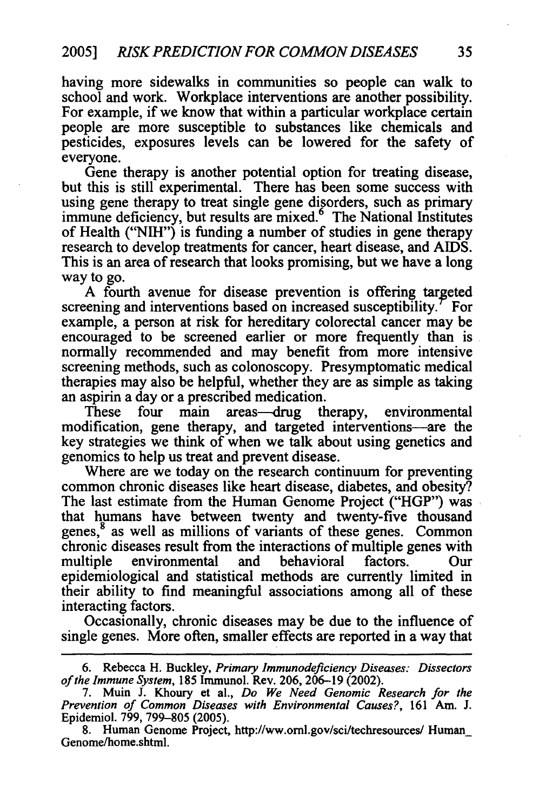having more sidewalks in communities so people can walk to school and work. Workplace interventions are another possibility. For example, if we know that within a particular workplace certain people are more susceptible to substances like chemicals and pesticides, exposures levels can be lowered for the safety of everyone.

Gene therapy is another potential option for treating disease, but this is still experimental. There has been some success with using gene therapy to treat single gene disorders, such as primary immune deficiency, but results are mixed.<sup>6</sup> The National Institutes of Health ("NIH") is funding a number of studies in gene therapy research to develop treatments for cancer, heart disease, and AIDS. This is an area of research that looks promising, but we have a long way to go.

A fourth avenue for disease prevention is offering targeted screening and interventions based on increased susceptibility. For example, a person at risk for hereditary colorectal cancer may be encouraged to be screened earlier or more frequently than is normally recommended and may benefit from more intensive screening methods, such as colonoscopy. Presymptomatic medical therapies may also be helpful, whether they are as simple as taking an aspirin a day or a prescribed medication.

These four main areas—drug therapy, environmental modification, gene therapy, and targeted interventions-are the key strategies we think of when we talk about using genetics and genomics to help us treat and prevent disease.

Where are we today on the research continuum for preventing common chronic diseases like heart disease, diabetes, and obesity? The last estimate from the Human Genome Project ("HGP") was that humans have between twenty and twenty-five thousand genes,<sup>8</sup> as well as millions of variants of these genes. Common chronic diseases result from the interactions of multiple genes with multiple environmental and behavioral factors. Our epidemiological and statistical methods are currently limited in their ability to find meaningful associations among all of these interacting factors.

Occasionally, chronic diseases may be due to the influence of single genes. More often, smaller effects are reported in a way that

<sup>6.</sup> Rebecca H. Buckley, Primary Immunodeficiency Diseases: Dissectors ofthe *Immune System,* **185** Immunol. Rev. **206, 206-19** (2002).

**<sup>7.</sup> Muin J.** Khoury et al., *Do We Need Genomic Research for the Prevention of Common Diseases with Environmental* Causes?, **161** Am. **J.**  Epidemiol. **799, 799-805 (2005).** 

**<sup>8.</sup>** Human Genome Project, [http://ww.oml.gov/sci/techresources/](http://ww.oml.gov/sci/techresources) Human\_ Genome/home.shtml.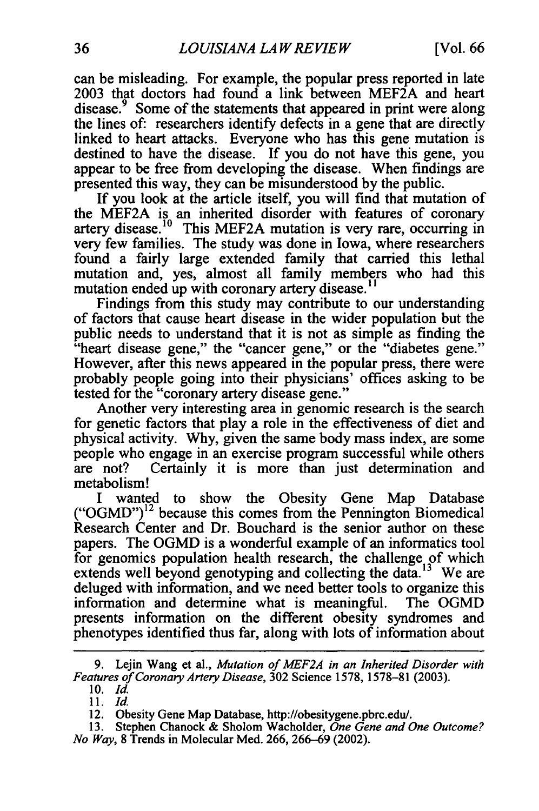can be misleading. For example, the popular press reported in late 2003 that doctors had found a link between MEF2A and heart disease.<sup>9</sup> Some of the statements that appeared in print were along the lines of: researchers identify defects in a gene that are directly linked to heart attacks. Everyone who has this gene mutation is destined to have the disease. If you do not have this gene, you appear to be free from developing the disease. When findings are presented this way, they can be misunderstood by the public.

If you look at the article itself, you will find that mutation of the MEF2A is an inherited disorder with features of coronary artery disease.<sup>10</sup> This MEF2A mutation is very rare, occurring in very few families. The study was done in Iowa, where researchers found a fairly large extended family that carried this lethal mutation and, yes, almost all family members who had this mutation ended up with coronary artery disease.<sup>11</sup>

Findings from this study may contribute to our understanding of factors that cause heart disease in the wider population but the public needs to understand that it is not as simple as finding the "heart disease gene," the "cancer gene," or the "diabetes gene." However, after this news appeared in the popular press, there were probably people going into their physicians' offices asking to be tested for the "coronary artery disease gene."

Another very interesting area in genomic research is the search for genetic factors that play a role in the effectiveness of diet and physical activity. Why, given the same body mass index, are some people who engage in an exercise program successful while others are not? Certainly it is more than just determination and metabolism!

I wanted to show the Obesity Gene Map Database  $("OGMD")<sup>12</sup>$  because this comes from the Pennington Biomedical Research Center and Dr. Bouchard is the senior author on these papers. The OGMD is a wonderful example of an informatics tool for genomics population health research, the challenge of which extends well beyond genotyping and collecting the data.<sup>13</sup> We are deluged with information, and we need better tools to organize this information and determine what is meaningful. The OGMD presents information on the different obesity syndromes and phenotypes identified thus far, along with lots of information about

<sup>9.</sup> Lejin Wang et al., *Mutation of MEF2A in an Inherited Disorder with* Features of Coronary Artery Disease, 302 Science 1578, 1578-81 (2003).

<sup>10.</sup> Id.

<sup>11.</sup> Id.

<sup>12.</sup> Obesity Gene Map Database, [http://obesitygene.pbrc.edu/](http://obesitygene.pbrc.edu).

<sup>13.</sup> Stephen Chanock **&** Sholom Wacholder, *One Gene and One Outcome? No Way,* 8 Trends in Molecular Med. 266, 266-69 (2002).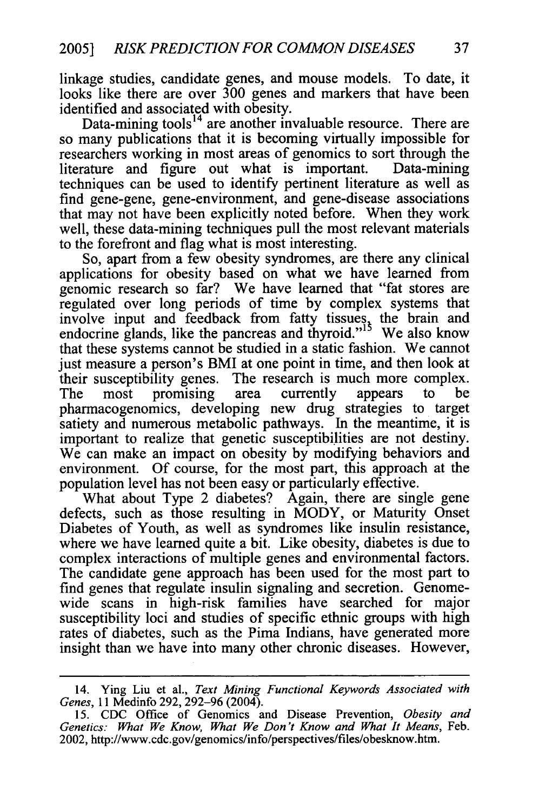linkage studies, candidate genes, and mouse models. To date, it looks like there are over 300 genes and markers that have been identified and associated with obesity.

Data-mining tools<sup>14</sup> are another invaluable resource. There are so many publications that it is becoming virtually impossible for researchers working in most areas of genomics to sort through the literature and figure out what is important. Data-mining literature and figure out what is important. techniques can be used to identify pertinent literature as well as find gene-gene, gene-environment, and gene-disease associations that may not have been explicitly noted before. When they work well, these data-mining techniques pull the most relevant materials to the forefront and flag what is most interesting.

So, apart from a few obesity syndromes, are there any clinical applications for obesity based on what we have learned from genomic research so far? We have learned that "fat stores are regulated over long periods of time by complex systems that involve input and feedback from fatty tissues, the brain and endocrine glands, like the pancreas and thyroid."<sup>15</sup> We also know that these systems cannot be studied in a static fashion. We cannot just measure a person's BMI at one point in time, and then look at their susceptibility genes. The research is much more complex. The most promising area currently appears to be pharmacogenomics, developing new drug strategies to target satiety and numerous metabolic pathways. In the meantime, it is important to realize that genetic susceptibilities are not destiny. We can make an impact on obesity by modifying behaviors and environment. Of course, for the most part, this approach at the population level has not been easy or particularly effective.

What about Type 2 diabetes? Again, there are single gene defects, such as those resulting in MODY, or Maturity Onset Diabetes of Youth, as well as syndromes like insulin resistance, where we have learned quite a bit. Like obesity, diabetes is due to complex interactions of multiple genes and environmental factors. The candidate gene approach has been used for the most part to find genes that regulate insulin signaling and secretion. Genomewide scans in high-risk families have searched for major susceptibility loci and studies of specific ethnic groups with high rates of diabetes, such as the Pima Indians, have generated more insight than we have into many other chronic diseases. However,

<sup>14.</sup> Ying Liu et al., *Text Mining Functional Keywords Associated with Genes,* 11 Medinfo 292, 292-96 (2004).

<sup>15.</sup> CDC Office of Genomics and Disease Prevention, *Obesity and Genetics: What We Know, What We Don 't Know and What It Means,* Feb. 2002, <http://www.cdc.gov/genomics/info/perspectives/files/obesknow.htm>.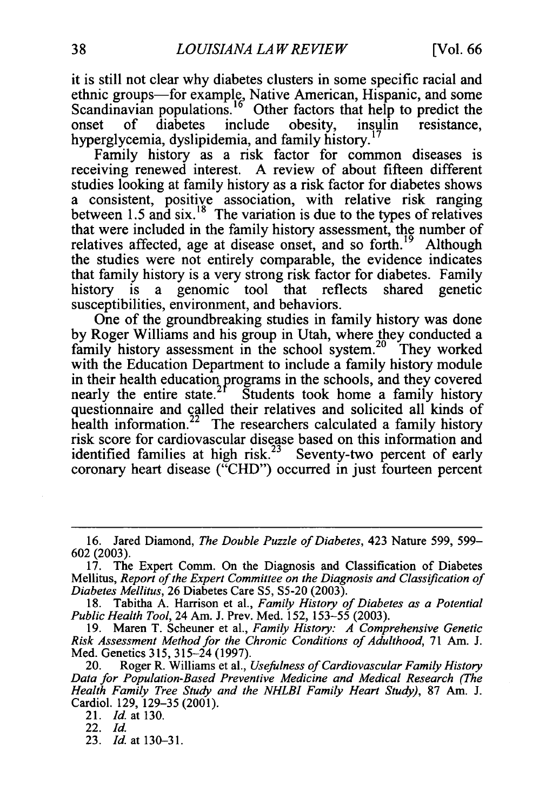it is still not clear why diabetes clusters in some specific racial and ethnic groups-for example, Native American, Hispanic, and some Scandinavian populations.<sup>16</sup> Other factors that help to predict the onset of diabetes include obesity, insulin resistance, hyperglycemia, dyslipidemia, and family history.

Family history as a risk factor for common diseases is receiving renewed interest. A review of about fifteen different studies looking at family history as a risk factor for diabetes shows a consistent, positive association, with relative risk ranging between 1.5 and six.<sup>18</sup> The variation is due to the types of relatives that were included in the family history assessment, the number of relatives affected, age at disease onset, and so forth.<sup>19</sup> Although the studies were not entirely comparable, the evidence indicates that family history is a very strong risk factor for diabetes. Family history is a genomic tool that reflects shared genetic susceptibilities, environment, and behaviors.

One of the groundbreaking studies in family history was done by Roger Williams and his group in Utah, where they conducted a family history assessment in the school [system.](https://system.20)<sup>20</sup> They worked with the Education Department to include a family history module in their health education programs in the schools, and they covered nearly the entire state.<sup>21</sup> Students took home a family history questionnaire and called their relatives and solicited all kinds of health [information.](https://information.22)<sup>22</sup> The researchers calculated a family history risk score for cardiovascular disease based on this information and identified families at high risk.<sup>23</sup> Seventy-two percent of early coronary heart disease ("CHD") occurred in just fourteen percent

23. *Id.* at 130-31.

<sup>16.</sup> Jared Diamond, *The Double Puzzle of Diabetes,*423 Nature 599, 599- 602 (2003).

<sup>17.</sup> The Expert Comm. On the Diagnosis and Classification of Diabetes Mellitus, *Report of the Expert Committee on the Diagnosis and Classification of DiabetesMellitus,* 26 Diabetes Care *S5,* S5-20 (2003).

<sup>18.</sup> Tabitha A. Harrison et al., *Family History of Diabetes as a Potential PublicHealth Tool,* 24 Am. J. Prey. Med. 152, 153-55 (2003).

<sup>19.</sup> Maren T. Scheuner et al., *Family History: A Comprehensive Genetic Risk Assessment Method for the Chronic Conditions of Adulthood,* 71 Am. J. Med. Genetics 315, 315-24 (1997).

<sup>20.</sup> Roger R. Williams et al., *Usefulness of Cardiovascular Family History Data for Population-Based Preventive Medicine and Medical Research (The Health Family Tree Study and the NHLBI Family Heart Study),* 87 Am. J. Cardiol. 129, 129-35 (2001).

<sup>21.</sup> *Id.* at **130.** 

<sup>22.</sup> Id.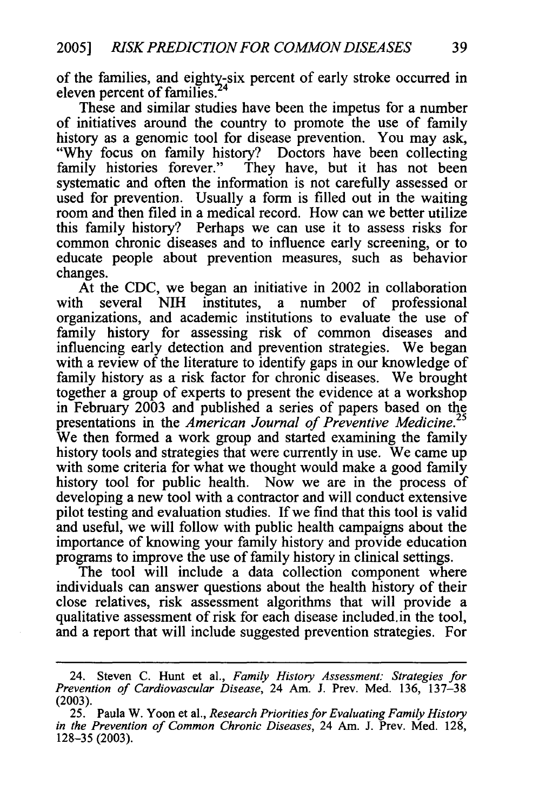of the families, and eighty-six percent of early stroke occurred in eleven percent of families. <sup>4</sup>

These and similar studies have been the impetus for a number of initiatives around the country to promote the use of family history as a genomic tool for disease prevention. You may ask, "Why focus on family history? Doctors have been collecting family histories forever." They have, but it has not been systematic and often the information is not carefully assessed or used for prevention. Usually a form is filled out in the waiting room and then filed in a medical record. How can we better utilize this family history? Perhaps we can use it to assess risks for common chronic diseases and to influence early screening, or to educate people about prevention measures, such as behavior changes.

At the CDC, we began an initiative in 2002 in collaboration<br>h several NIH institutes, a number of professional with several NIH institutes, a number of professional organizations, and academic institutions to evaluate the use of family history for assessing risk of common diseases and influencing early detection and prevention strategies. We began with a review of the literature to identify gaps in our knowledge of family history as a risk factor for chronic diseases. We brought together a group of experts to present the evidence at a workshop in February 2003 and published a series of papers based on the presentations in the *American Journal of Preventive Medicine*.<sup>2</sup> We then formed a work group and started examining the family history tools and strategies that were currently in use. We came up with some criteria for what we thought would make a good family history tool for public health. Now we are in the process of developing a new tool with a contractor and will conduct extensive pilot testing and evaluation studies. If we find that this tool is valid and useful, we will follow with public health campaigns about the importance of knowing your family history and provide education programs to improve the use of family history in clinical settings.

The tool will include a data collection component where individuals can answer questions about the health history of their close relatives, risk assessment algorithms that will provide a qualitative assessment of risk for each disease [included.in](https://included.in) the tool, and a report that will include suggested prevention strategies. For

<sup>24.</sup> Steven C. Hunt et al., *Family History Assessment: Strategies for Prevention of CardiovascularDisease,* 24 Am. J. Prev. Med. 136, 137-38 **(2003).** 

<sup>25.</sup> Paula W. Yoon et al., *Research Priorities for Evaluating Family History in the Prevention of Common Chronic Diseases,* 24 Am. **J.** Prey. Med. **128, 128-35 (2003).**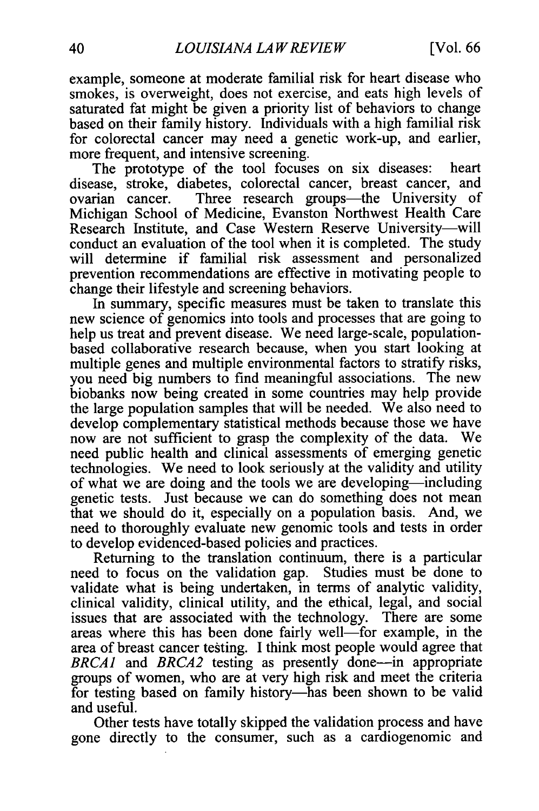example, someone at moderate familial risk for heart disease who smokes, is overweight, does not exercise, and eats high levels of saturated fat might be given a priority list of behaviors to change based on their family history. Individuals with a high familial risk for colorectal cancer may need a genetic work-up, and earlier, more frequent, and intensive screening.

The prototype of the tool focuses on six diseases: heart disease, stroke, diabetes, colorectal cancer, breast cancer, and ovarian cancer. Three research groups—the University of Michigan School of Medicine, Evanston Northwest Health Care Research Institute, and Case Western Reserve University-will conduct an evaluation of the tool when it is completed. The study will determine if familial risk assessment and personalized prevention recommendations are effective in motivating people to change their lifestyle and screening behaviors.

In summary, specific measures must be taken to translate this new science of genomics into tools and processes that are going to help us treat and prevent disease. We need large-scale, populationbased collaborative research because, when you start looking at multiple genes and multiple environmental factors to stratify risks, you need big numbers to find meaningful associations. The new biobanks now being created in some countries may help provide the large population samples that will be needed. We also need to develop complementary statistical methods because those we have now are not sufficient to grasp the complexity of the data. We need public health and clinical assessments of emerging genetic technologies. We need to look seriously at the validity and utility of what we are doing and the tools we are developing—including genetic tests. Just because we can do something does not mean that we should do it, especially on a population basis. And, we need to thoroughly evaluate new genomic tools and tests in order to develop evidenced-based policies and practices.

Returning to the translation continuum, there is a particular need to focus on the validation gap. Studies must be done to validate what is being undertaken, in terms of analytic validity, clinical validity, clinical utility, and the ethical, legal, and social issues that are associated with the technology. There are some areas where this has been done fairly well-for example, in the area of breast cancer testing. I think most people would agree that *BRCA1* and *BRCA2* testing as presently done-in appropriate groups of women, who are at very high risk and meet the criteria for testing based on family history-has been shown to be valid and useful.

Other tests have totally skipped the validation process and have gone directly to the consumer, such as a cardiogenomic and